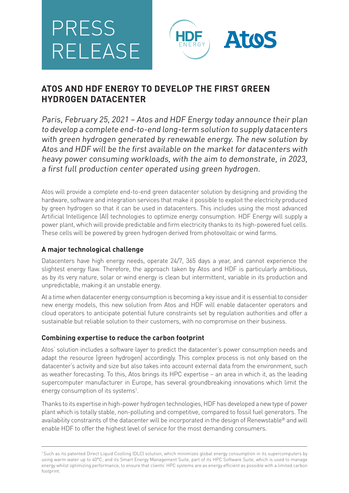# PRESS RELEASE



## **ATOS AND HDF ENERGY TO DEVELOP THE FIRST GREEN HYDROGEN DATACENTER**

Paris, February 25, 2021 – Atos and HDF Energy today announce their plan to develop a complete end-to-end long-term solution to supply datacenters with green hydrogen generated by renewable energy. The new solution by Atos and HDF will be the first available on the market for datacenters with heavy power consuming workloads, with the aim to demonstrate, in 2023, a first full production center operated using green hydrogen.

Atos will provide a complete end-to-end green datacenter solution by designing and providing the hardware, software and integration services that make it possible to exploit the electricity produced by green hydrogen so that it can be used in datacenters. This includes using the most advanced Artificial Intelligence (AI) technologies to optimize energy consumption. HDF Energy will supply a power plant, which will provide predictable and firm electricity thanks to its high-powered fuel cells. These cells will be powered by green hydrogen derived from photovoltaic or wind farms.

## **A major technological challenge**

Datacenters have high energy needs, operate 24/7, 365 days a year, and cannot experience the slightest energy flaw. Therefore, the approach taken by Atos and HDF is particularly ambitious, as by its very nature, solar or wind energy is clean but intermittent, variable in its production and unpredictable, making it an unstable energy.

At a time when datacenter energy consumption is becoming a key issue and it is essential to consider new energy models, this new solution from Atos and HDF will enable datacenter operators and cloud operators to anticipate potential future constraints set by regulation authorities and offer a sustainable but reliable solution to their customers, with no compromise on their business.

## **Combining expertise to reduce the carbon footprint**

Atos' solution includes a software layer to predict the datacenter's power consumption needs and adapt the resource (green hydrogen) accordingly. This complex process is not only based on the datacenter's activity and size but also takes into account external data from the environment, such as weather forecasting. To this, Atos brings its HPC expertise – an area in which it, as the leading supercomputer manufacturer in Europe, has several groundbreaking innovations which limit the energy consumption of its systems<sup>1</sup>.

Thanks to its expertise in high-power hydrogen technologies, HDF has developed a new type of power plant which is totally stable, non-polluting and competitive, compared to fossil fuel generators. The availability constraints of the datacenter will be incorporated in the design of Renewstable® and will enable HDF to offer the highest level of service for the most demanding consumers.

<sup>&</sup>lt;sup>1</sup> Such as its patented Direct Liquid Coolling (DLC) solution, which minimizes global energy consumption in its supercomputers by using warm water up to 40°C; and its Smart Energy Management Suite, part of its HPC Software Suite, which is used to manage energy whilst optimizing performance, to ensure that clients' HPC systems are as energy efficient as possible with a limited carbon footprint.